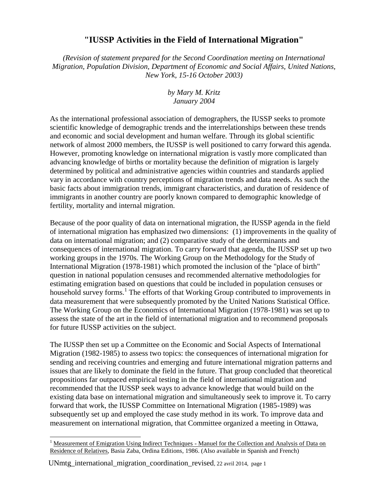## **"IUSSP Activities in the Field of International Migration"**

*(Revision of statement prepared for the Second Coordination meeting on International Migration, Population Division, Department of Economic and Social Affairs, United Nations, New York, 15-16 October 2003)*

## *by Mary M. Kritz January 2004*

As the international professional association of demographers, the IUSSP seeks to promote scientific knowledge of demographic trends and the interrelationships between these trends and economic and social development and human welfare. Through its global scientific network of almost 2000 members, the IUSSP is well positioned to carry forward this agenda. However, promoting knowledge on international migration is vastly more complicated than advancing knowledge of births or mortality because the definition of migration is largely determined by political and administrative agencies within countries and standards applied vary in accordance with country perceptions of migration trends and data needs. As such the basic facts about immigration trends, immigrant characteristics, and duration of residence of immigrants in another country are poorly known compared to demographic knowledge of fertility, mortality and internal migration.

Because of the poor quality of data on international migration, the IUSSP agenda in the field of international migration has emphasized two dimensions: (1) improvements in the quality of data on international migration; and (2) comparative study of the determinants and consequences of international migration. To carry forward that agenda, the IUSSP set up two working groups in the 1970s. The Working Group on the Methodology for the Study of International Migration (1978-1981) which promoted the inclusion of the "place of birth" question in national population censuses and recommended alternative methodologies for estimating emigration based on questions that could be included in population censuses or household survey forms.<sup>1</sup> The efforts of that Working Group contributed to improvements in data measurement that were subsequently promoted by the United Nations Statistical Office. The Working Group on the Economics of International Migration (1978-1981) was set up to assess the state of the art in the field of international migration and to recommend proposals for future IUSSP activities on the subject.

The IUSSP then set up a Committee on the Economic and Social Aspects of International Migration (1982-1985) to assess two topics: the consequences of international migration for sending and receiving countries and emerging and future international migration patterns and issues that are likely to dominate the field in the future. That group concluded that theoretical propositions far outpaced empirical testing in the field of international migration and recommended that the IUSSP seek ways to advance knowledge that would build on the existing data base on international migration and simultaneously seek to improve it. To carry forward that work, the IUSSP Committee on International Migration (1985-1989) was subsequently set up and employed the case study method in its work. To improve data and measurement on international migration, that Committee organized a meeting in Ottawa,

 $\overline{a}$ 

<sup>&</sup>lt;sup>1</sup> Measurement of Emigration Using Indirect Techniques - Manuel for the Collection and Analysis of Data on Residence of Relatives, Basia Zaba, Ordina Editions, 1986. (Also available in Spanish and French)

UNmtg\_international\_migration\_coordination\_revised, 22 avril 2014, page 1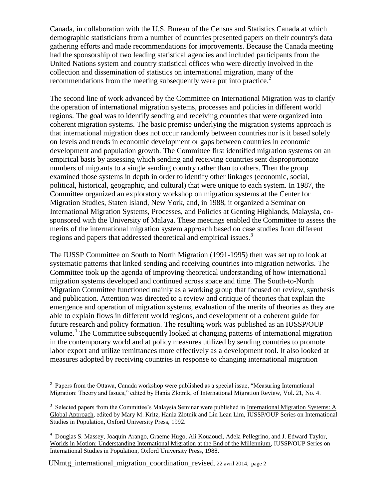Canada, in collaboration with the U.S. Bureau of the Census and Statistics Canada at which demographic statisticians from a number of countries presented papers on their country's data gathering efforts and made recommendations for improvements. Because the Canada meeting had the sponsorship of two leading statistical agencies and included participants from the United Nations system and country statistical offices who were directly involved in the collection and dissemination of statistics on international migration, many of the recommendations from the meeting subsequently were put into practice.<sup>2</sup>

The second line of work advanced by the Committee on International Migration was to clarify the operation of international migration systems, processes and policies in different world regions. The goal was to identify sending and receiving countries that were organized into coherent migration systems. The basic premise underlying the migration systems approach is that international migration does not occur randomly between countries nor is it based solely on levels and trends in economic development or gaps between countries in economic development and population growth. The Committee first identified migration systems on an empirical basis by assessing which sending and receiving countries sent disproportionate numbers of migrants to a single sending country rather than to others. Then the group examined those systems in depth in order to identify other linkages (economic, social, political, historical, geographic, and cultural) that were unique to each system. In 1987, the Committee organized an exploratory workshop on migration systems at the Center for Migration Studies, Staten Island, New York, and, in 1988, it organized a Seminar on International Migration Systems, Processes, and Policies at Genting Highlands, Malaysia, cosponsored with the University of Malaya. These meetings enabled the Committee to assess the merits of the international migration system approach based on case studies from different regions and papers that addressed theoretical and empirical issues.<sup>3</sup>

The IUSSP Committee on South to North Migration (1991-1995) then was set up to look at systematic patterns that linked sending and receiving countries into migration networks. The Committee took up the agenda of improving theoretical understanding of how international migration systems developed and continued across space and time. The South-to-North Migration Committee functioned mainly as a working group that focused on review, synthesis and publication. Attention was directed to a review and critique of theories that explain the emergence and operation of migration systems, evaluation of the merits of theories as they are able to explain flows in different world regions, and development of a coherent guide for future research and policy formation. The resulting work was published as an IUSSP/OUP volume.<sup>4</sup> The Committee subsequently looked at changing patterns of international migration in the contemporary world and at policy measures utilized by sending countries to promote labor export and utilize remittances more effectively as a development tool. It also looked at measures adopted by receiving countries in response to changing international migration

 $\overline{a}$ 

<sup>&</sup>lt;sup>2</sup> Papers from the Ottawa, Canada workshop were published as a special issue, "Measuring International Migration: Theory and Issues," edited by Hania Zlotnik, of International Migration Review, Vol. 21, No. 4.

 $3$  Selected papers from the Committee's Malaysia Seminar were published in International Migration Systems: A Global Approach, edited by Mary M. Kritz, Hania Zlotnik and Lin Lean Lim, IUSSP/OUP Series on International Studies in Population, Oxford University Press, 1992.

<sup>4</sup> Douglas S. Massey, Joaquin Arango, Graeme Hugo, Ali Kouaouci, Adela Pellegrino, and J. Edward Taylor, Worlds in Motion: Understanding International Migration at the End of the Millennium, IUSSP/OUP Series on International Studies in Population, Oxford University Press, 1988.

UNmtg\_international\_migration\_coordination\_revised, 22 avril 2014, page 2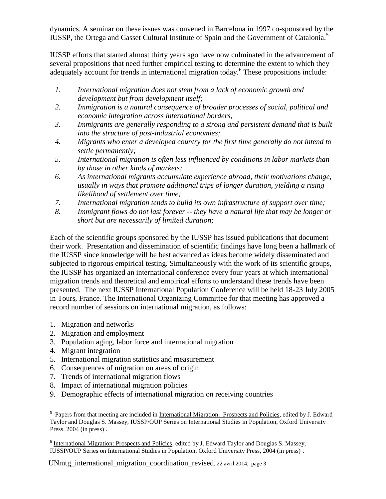dynamics. A seminar on these issues was convened in Barcelona in 1997 co-sponsored by the IUSSP, the Ortega and Gasset Cultural Institute of Spain and the Government of Catalonia.<sup>5</sup>

IUSSP efforts that started almost thirty years ago have now culminated in the advancement of several propositions that need further empirical testing to determine the extent to which they adequately account for trends in international migration today.<sup>6</sup> These propositions include:

- *1. International migration does not stem from a lack of economic growth and development but from development itself;*
- *2. Immigration is a natural consequence of broader processes of social, political and economic integration across international borders;*
- *3. Immigrants are generally responding to a strong and persistent demand that is built into the structure of post-industrial economies;*
- *4. Migrants who enter a developed country for the first time generally do not intend to settle permanently;*
- *5. International migration is often less influenced by conditions in labor markets than by those in other kinds of markets;*
- *6. As international migrants accumulate experience abroad, their motivations change, usually in ways that promote additional trips of longer duration, yielding a rising likelihood of settlement over time;*
- *7. International migration tends to build its own infrastructure of support over time;*
- *8. Immigrant flows do not last forever -- they have a natural life that may be longer or short but are necessarily of limited duration;*

Each of the scientific groups sponsored by the IUSSP has issued publications that document their work. Presentation and dissemination of scientific findings have long been a hallmark of the IUSSP since knowledge will be best advanced as ideas become widely disseminated and subjected to rigorous empirical testing. Simultaneously with the work of its scientific groups, the IUSSP has organized an international conference every four years at which international migration trends and theoretical and empirical efforts to understand these trends have been presented. The next IUSSP International Population Conference will be held 18-23 July 2005 in Tours, France. The International Organizing Committee for that meeting has approved a record number of sessions on international migration, as follows:

- 1. Migration and networks
- 2. Migration and employment
- 3. Population aging, labor force and international migration
- 4. Migrant integration
- 5. International migration statistics and measurement
- 6. Consequences of migration on areas of origin
- 7. Trends of international migration flows
- 8. Impact of international migration policies
- 9. Demographic effects of international migration on receiving countries

UNmtg\_international\_migration\_coordination\_revised, 22 avril 2014, page 3

 $\overline{a}$ <sup>5</sup> Papers from that meeting are included in International Migration: Prospects and Policies, edited by J. Edward Taylor and Douglas S. Massey, IUSSP/OUP Series on International Studies in Population, Oxford University Press, 2004 (in press) .

<sup>&</sup>lt;sup>6</sup> International Migration: Prospects and Policies, edited by J. Edward Taylor and Douglas S. Massey, IUSSP/OUP Series on International Studies in Population, Oxford University Press, 2004 (in press) .